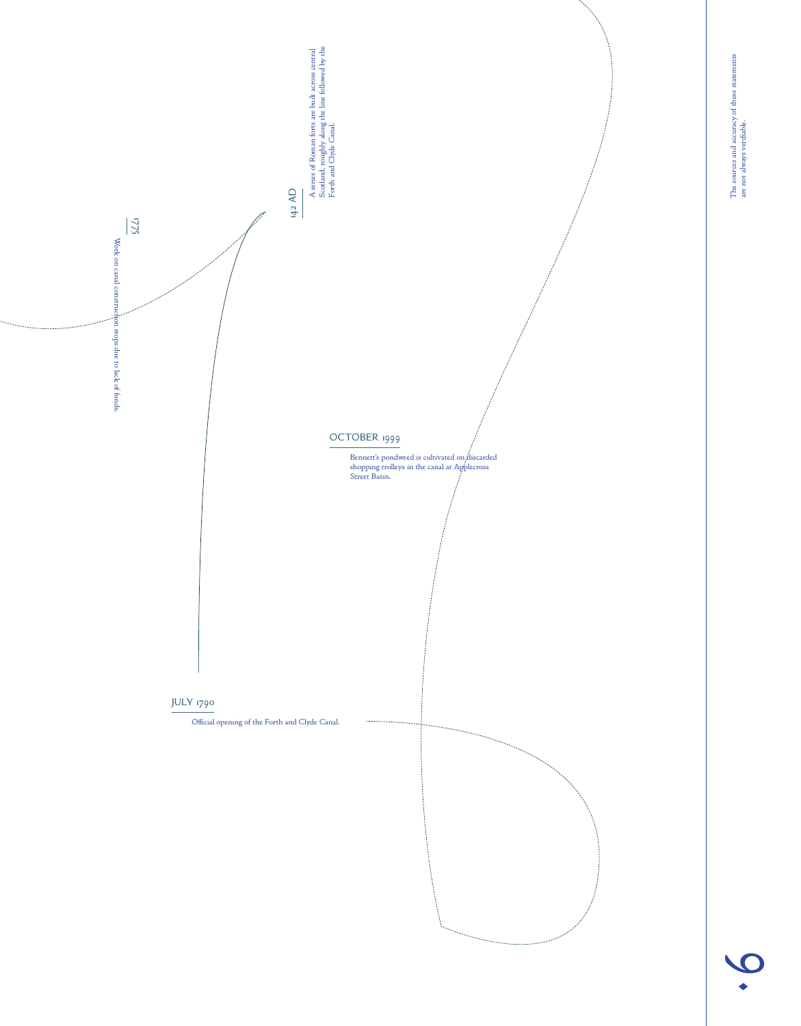

9.

are not always verifiable.